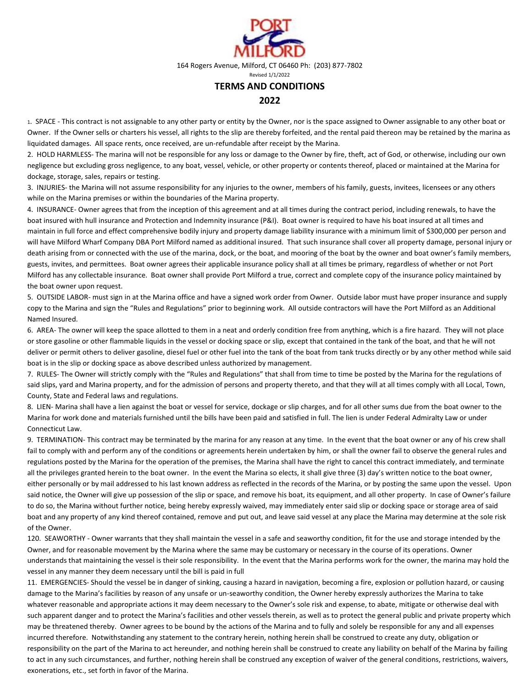

164 Rogers Avenue, Milford, CT 06460 Ph: (203) 877-7802

Revised 1/1/2022

## **TERMS AND CONDITIONS**

## **2022**

1. SPACE - This contract is not assignable to any other party or entity by the Owner, nor is the space assigned to Owner assignable to any other boat or Owner. If the Owner sells or charters his vessel, all rights to the slip are thereby forfeited, and the rental paid thereon may be retained by the marina as liquidated damages. All space rents, once received, are un-refundable after receipt by the Marina.

2. HOLD HARMLESS- The marina will not be responsible for any loss or damage to the Owner by fire, theft, act of God, or otherwise, including our own negligence but excluding gross negligence, to any boat, vessel, vehicle, or other property or contents thereof, placed or maintained at the Marina for dockage, storage, sales, repairs or testing.

3. INJURIES- the Marina will not assume responsibility for any injuries to the owner, members of his family, guests, invitees, licensees or any others while on the Marina premises or within the boundaries of the Marina property.

4. INSURANCE- Owner agrees that from the inception of this agreement and at all times during the contract period, including renewals, to have the boat insured with hull insurance and Protection and Indemnity insurance (P&I). Boat owner is required to have his boat insured at all times and maintain in full force and effect comprehensive bodily injury and property damage liability insurance with a minimum limit of \$300,000 per person and will have Milford Wharf Company DBA Port Milford named as additional insured. That such insurance shall cover all property damage, personal injury or death arising from or connected with the use of the marina, dock, or the boat, and mooring of the boat by the owner and boat owner's family members, guests, invites, and permittees. Boat owner agrees their applicable insurance policy shall at all times be primary, regardless of whether or not Port Milford has any collectable insurance. Boat owner shall provide Port Milford a true, correct and complete copy of the insurance policy maintained by the boat owner upon request.

5. OUTSIDE LABOR- must sign in at the Marina office and have a signed work order from Owner. Outside labor must have proper insurance and supply copy to the Marina and sign the "Rules and Regulations" prior to beginning work. All outside contractors will have the Port Milford as an Additional Named Insured.

6. AREA- The owner will keep the space allotted to them in a neat and orderly condition free from anything, which is a fire hazard. They will not place or store gasoline or other flammable liquids in the vessel or docking space or slip, except that contained in the tank of the boat, and that he will not deliver or permit others to deliver gasoline, diesel fuel or other fuel into the tank of the boat from tank trucks directly or by any other method while said boat is in the slip or docking space as above described unless authorized by management.

7. RULES- The Owner will strictly comply with the "Rules and Regulations" that shall from time to time be posted by the Marina for the regulations of said slips, yard and Marina property, and for the admission of persons and property thereto, and that they will at all times comply with all Local, Town, County, State and Federal laws and regulations.

8. LIEN- Marina shall have a lien against the boat or vessel for service, dockage or slip charges, and for all other sums due from the boat owner to the Marina for work done and materials furnished until the bills have been paid and satisfied in full. The lien is under Federal Admiralty Law or under Connecticut Law.

9. TERMINATION- This contract may be terminated by the marina for any reason at any time. In the event that the boat owner or any of his crew shall fail to comply with and perform any of the conditions or agreements herein undertaken by him, or shall the owner fail to observe the general rules and regulations posted by the Marina for the operation of the premises, the Marina shall have the right to cancel this contract immediately, and terminate all the privileges granted herein to the boat owner. In the event the Marina so elects, it shall give three (3) day's written notice to the boat owner, either personally or by mail addressed to his last known address as reflected in the records of the Marina, or by posting the same upon the vessel. Upon said notice, the Owner will give up possession of the slip or space, and remove his boat, its equipment, and all other property. In case of Owner's failure to do so, the Marina without further notice, being hereby expressly waived, may immediately enter said slip or docking space or storage area of said boat and any property of any kind thereof contained, remove and put out, and leave said vessel at any place the Marina may determine at the sole risk of the Owner.

120. SEAWORTHY - Owner warrants that they shall maintain the vessel in a safe and seaworthy condition, fit for the use and storage intended by the Owner, and for reasonable movement by the Marina where the same may be customary or necessary in the course of its operations. Owner understands that maintaining the vessel is their sole responsibility. In the event that the Marina performs work for the owner, the marina may hold the vessel in any manner they deem necessary until the bill is paid in full

11. EMERGENCIES- Should the vessel be in danger of sinking, causing a hazard in navigation, becoming a fire, explosion or pollution hazard, or causing damage to the Marina's facilities by reason of any unsafe or un-seaworthy condition, the Owner hereby expressly authorizes the Marina to take whatever reasonable and appropriate actions it may deem necessary to the Owner's sole risk and expense, to abate, mitigate or otherwise deal with such apparent danger and to protect the Marina's facilities and other vessels therein, as well as to protect the general public and private property which may be threatened thereby. Owner agrees to be bound by the actions of the Marina and to fully and solely be responsible for any and all expenses incurred therefore. Notwithstanding any statement to the contrary herein, nothing herein shall be construed to create any duty, obligation or responsibility on the part of the Marina to act hereunder, and nothing herein shall be construed to create any liability on behalf of the Marina by failing to act in any such circumstances, and further, nothing herein shall be construed any exception of waiver of the general conditions, restrictions, waivers, exonerations, etc., set forth in favor of the Marina.